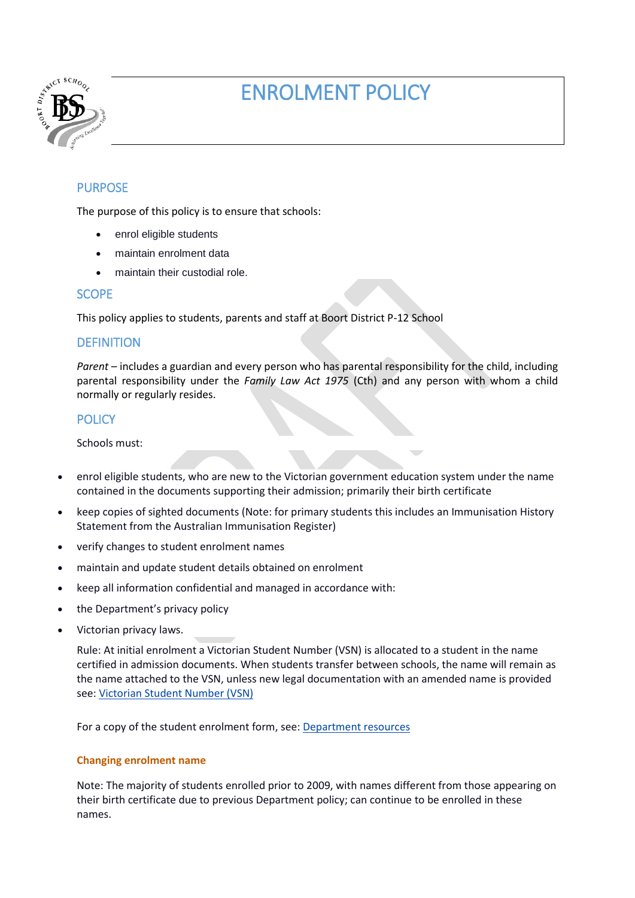

# ENROLMENT POLICY

# PURPOSE

The purpose of this policy is to ensure that schools:

- enrol eligible students
- maintain enrolment data
- maintain their custodial role.

## **SCOPE**

This policy applies to students, parents and staff at Boort District P-12 School

# **DEFINITION**

*Parent* – includes a guardian and every person who has parental responsibility for the child, including parental responsibility under the *Family Law Act 1975* (Cth) and any person with whom a child normally or regularly resides.

# **POLICY**

Schools must:

- enrol eligible students, who are new to the Victorian government education system under the name contained in the documents supporting their admission; primarily their birth certificate
- keep copies of sighted documents (Note: for primary students this includes an Immunisation History Statement from the Australian Immunisation Register)
- verify changes to student enrolment names
- maintain and update student details obtained on enrolment
- keep all information confidential and managed in accordance with:
- the Department's privacy policy
- Victorian privacy laws.

Rule: At initial enrolment a Victorian Student Number (VSN) is allocated to a student in the name certified in admission documents. When students transfer between schools, the name will remain as the name attached to the VSN, unless new legal documentation with an amended name is provided see: [Victorian Student Number \(VSN\)](http://www.vcaa.vic.edu.au/pages/schooladmin/vsn/index.aspx)

For a copy of the student enrolment form, see: [Department resources](https://www.education.vic.gov.au/school/principals/spag/participation/Pages/enrolment.aspx#resources)

## **Changing enrolment name**

Note: The majority of students enrolled prior to 2009, with names different from those appearing on their birth certificate due to previous Department policy; can continue to be enrolled in these names.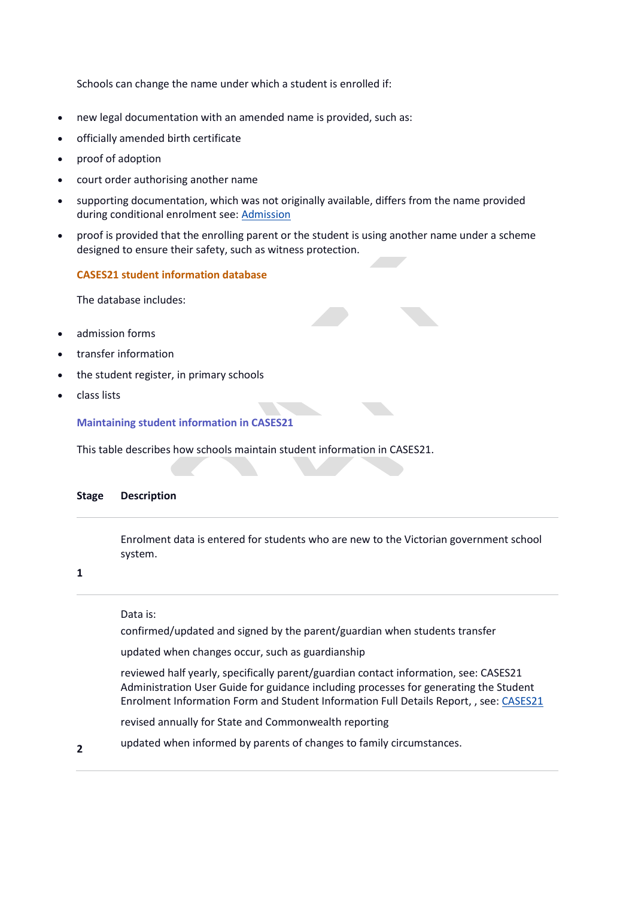Schools can change the name under which a student is enrolled if:

- new legal documentation with an amended name is provided, such as:
- officially amended birth certificate
- proof of adoption
- court order authorising another name
- supporting documentation, which was not originally available, differs from the name provided during conditional enrolment see: [Admission](https://www.education.vic.gov.au/school/principals/spag/participation/Pages/admission.aspx)
- proof is provided that the enrolling parent or the student is using another name under a scheme designed to ensure their safety, such as witness protection.

#### **CASES21 student information database**

The database includes:

- admission forms
- transfer information
- the student register, in primary schools
- class lists

**Maintaining student information in CASES21**

This table describes how schools maintain student information in CASES21.

#### **Stage Description**

Enrolment data is entered for students who are new to the Victorian government school system.

#### **1**

Data is:

confirmed/updated and signed by the parent/guardian when students transfer

updated when changes occur, such as guardianship

 reviewed half yearly, specifically parent/guardian contact information, see: CASES21 Administration User Guide for guidance including processes for generating the Student Enrolment Information Form and Student Information Full Details Report, , see: [CASES21](https://edugate.eduweb.vic.gov.au/Services/bussys/cases21/default.aspx)

revised annually for State and Commonwealth reporting

**2** updated when informed by parents of changes to family circumstances.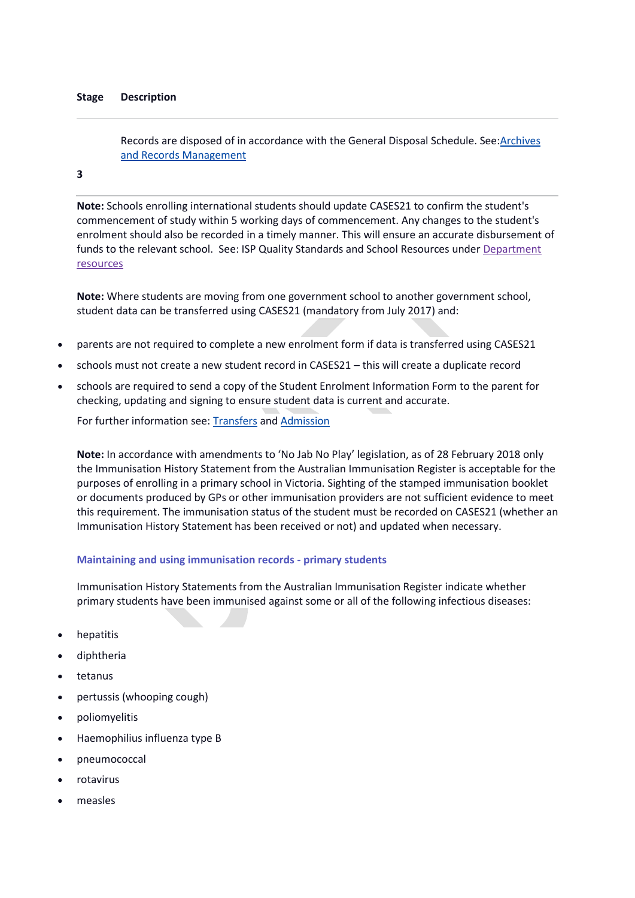#### **Stage Description**

Records are disposed of in accordance with the General Disposal Schedule. See: Archives [and Records Management](https://www.education.vic.gov.au/school/principals/spag/governance/pages/archives.aspx)

## **3**

**Note:** Schools enrolling international students should update CASES21 to confirm the student's commencement of study within 5 working days of commencement. Any changes to the student's enrolment should also be recorded in a timely manner. This will ensure an accurate disbursement of funds to the relevant school. See: ISP Quality Standards and School Resources under [Department](https://www.education.vic.gov.au/school/principals/spag/participation/Pages/enrolment.aspx#resources)  [resources](https://www.education.vic.gov.au/school/principals/spag/participation/Pages/enrolment.aspx#resources)

**Note:** Where students are moving from one government school to another government school, student data can be transferred using CASES21 (mandatory from July 2017) and:

- parents are not required to complete a new enrolment form if data is transferred using CASES21
- schools must not create a new student record in CASES21 this will create a duplicate record
- schools are required to send a copy of the Student Enrolment Information Form to the parent for checking, updating and signing to ensure student data is current and accurate.

For further information see: [Transfers](https://www.education.vic.gov.au/school/principals/spag/participation/Pages/transfers.aspx) and [Admission](https://www.education.vic.gov.au/school/principals/spag/participation/Pages/admission.aspx)

**Note:** In accordance with amendments to 'No Jab No Play' legislation, as of 28 February 2018 only the Immunisation History Statement from the Australian Immunisation Register is acceptable for the purposes of enrolling in a primary school in Victoria. Sighting of the stamped immunisation booklet or documents produced by GPs or other immunisation providers are not sufficient evidence to meet this requirement. The immunisation status of the student must be recorded on CASES21 (whether an Immunisation History Statement has been received or not) and updated when necessary.

#### **Maintaining and using immunisation records - primary students**

Immunisation History Statements from the Australian Immunisation Register indicate whether primary students have been immunised against some or all of the following infectious diseases:

- hepatitis
- diphtheria
- tetanus
- pertussis (whooping cough)
- poliomyelitis
- Haemophilius influenza type B
- pneumococcal
- rotavirus
- measles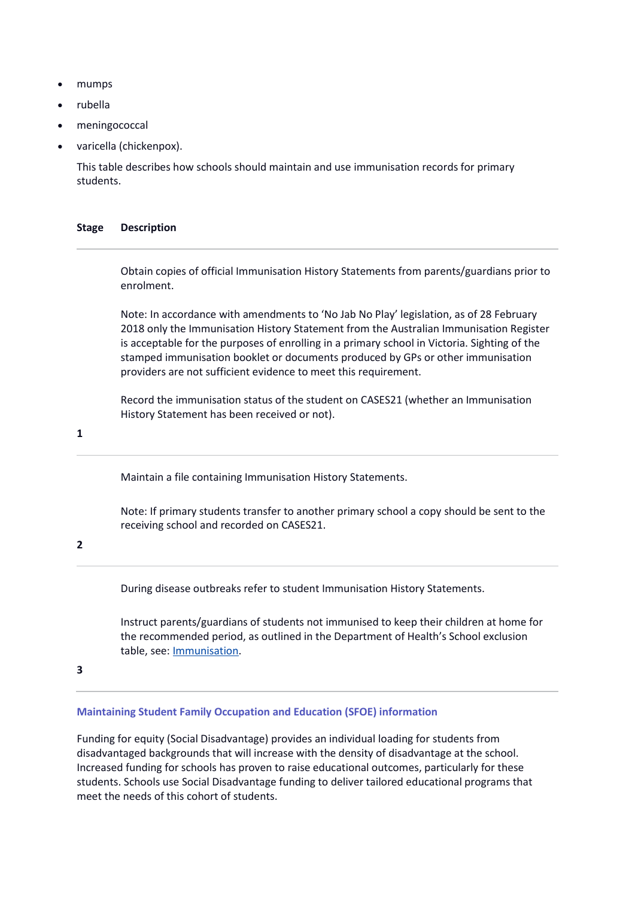- mumps
- rubella
- meningococcal
- varicella (chickenpox).

This table describes how schools should maintain and use immunisation records for primary students.

#### **Stage Description**

Obtain copies of official Immunisation History Statements from parents/guardians prior to enrolment.

Note: In accordance with amendments to 'No Jab No Play' legislation, as of 28 February 2018 only the Immunisation History Statement from the Australian Immunisation Register is acceptable for the purposes of enrolling in a primary school in Victoria. Sighting of the stamped immunisation booklet or documents produced by GPs or other immunisation providers are not sufficient evidence to meet this requirement.

Record the immunisation status of the student on CASES21 (whether an Immunisation History Statement has been received or not).

**1**

Maintain a file containing Immunisation History Statements.

Note: If primary students transfer to another primary school a copy should be sent to the receiving school and recorded on CASES21.

#### **2**

During disease outbreaks refer to student Immunisation History Statements.

Instruct parents/guardians of students not immunised to keep their children at home for the recommended period, as outlined in the Department of Health's School exclusion table, see: [Immunisation.](https://www.education.vic.gov.au/school/principals/spag/health/Pages/immunisation.aspx)

**3**

## **Maintaining Student Family Occupation and Education (SFOE) information**

Funding for equity (Social Disadvantage) provides an individual loading for students from disadvantaged backgrounds that will increase with the density of disadvantage at the school. Increased funding for schools has proven to raise educational outcomes, particularly for these students. Schools use Social Disadvantage funding to deliver tailored educational programs that meet the needs of this cohort of students.